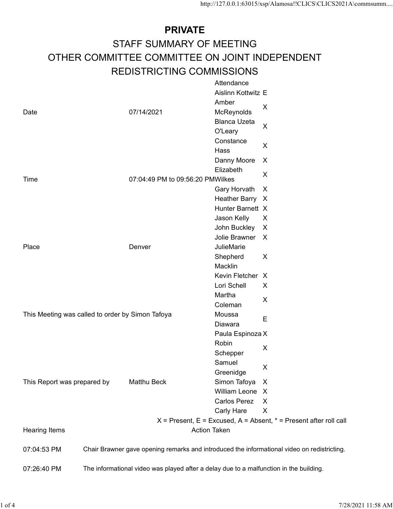## PRIVATE STAFF SUMMARY OF MEETING http://127.0.0.1:63015/xsp/Alamosa!!CLICS\CLICS2021A\commsumm....<br>
PRIVATE<br>
OTHER COMMITTEE COMMITTEE ON JOINT INDEPENDENT<br>
REDISTRICTING COMMISSIONS<br>
Attendance<br>
Aislinn Kottwitz E REDISTRICTING COMMISSIONS Attendance

|                                                  | <b>PRIVATE</b>                                                                              |                                     |                                                                       |
|--------------------------------------------------|---------------------------------------------------------------------------------------------|-------------------------------------|-----------------------------------------------------------------------|
|                                                  | STAFF SUMMARY OF MEETING                                                                    |                                     |                                                                       |
|                                                  | OTHER COMMITTEE COMMITTEE ON JOINT INDEPENDENT                                              |                                     |                                                                       |
|                                                  |                                                                                             |                                     |                                                                       |
|                                                  | <b>REDISTRICTING COMMISSIONS</b>                                                            | Attendance<br>Aislinn Kottwitz E    |                                                                       |
|                                                  |                                                                                             | Amber                               |                                                                       |
| Date                                             | 07/14/2021                                                                                  | McReynolds                          | X                                                                     |
|                                                  |                                                                                             | <b>Blanca Uzeta</b>                 | $\mathsf{X}$                                                          |
|                                                  |                                                                                             | O'Leary<br>Constance                |                                                                       |
|                                                  |                                                                                             | Hass                                | $\pmb{\times}$                                                        |
|                                                  |                                                                                             | Danny Moore                         | $\boldsymbol{\mathsf{X}}$                                             |
| Time                                             | 07:04:49 PM to 09:56:20 PMWilkes                                                            | Elizabeth                           | $\pmb{\times}$                                                        |
|                                                  |                                                                                             | Gary Horvath X                      |                                                                       |
|                                                  |                                                                                             | Heather Barry X                     |                                                                       |
|                                                  |                                                                                             | Hunter Barnett X                    |                                                                       |
|                                                  |                                                                                             | Jason Kelly<br>John Buckley X       | $\sf X$                                                               |
|                                                  |                                                                                             | Jolie Brawner X                     |                                                                       |
| Place                                            | Denver                                                                                      | JulieMarie                          |                                                                       |
|                                                  |                                                                                             | Shepherd                            | $\mathsf{X}$                                                          |
|                                                  |                                                                                             | Macklin<br>Kevin Fletcher X         |                                                                       |
|                                                  |                                                                                             | Lori Schell                         | $\sf X$                                                               |
|                                                  |                                                                                             | Martha                              | $\pmb{\times}$                                                        |
|                                                  |                                                                                             | Coleman<br>Moussa                   |                                                                       |
| This Meeting was called to order by Simon Tafoya |                                                                                             | Diawara                             | $\mathsf E$                                                           |
|                                                  |                                                                                             | Paula Espinoza X                    |                                                                       |
|                                                  |                                                                                             | Robin                               | $\mathsf X$                                                           |
|                                                  |                                                                                             | Schepper<br>Samuel                  |                                                                       |
|                                                  |                                                                                             | Greenidge                           | $\mathsf X$                                                           |
| This Report was prepared by                      | Matthu Beck                                                                                 | Simon Tafoya X                      |                                                                       |
|                                                  |                                                                                             | William Leone X                     |                                                                       |
|                                                  |                                                                                             | Carlos Perez X<br><b>Carly Hare</b> | $\boldsymbol{X}$                                                      |
|                                                  |                                                                                             |                                     | $X =$ Present, E = Excused, A = Absent, $* =$ Present after roll call |
| Hearing Items                                    |                                                                                             | <b>Action Taken</b>                 |                                                                       |
| 07:04:53 PM                                      | Chair Brawner gave opening remarks and introduced the informational video on redistricting. |                                     |                                                                       |
|                                                  | The informational video was played after a delay due to a malfunction in the building.      |                                     |                                                                       |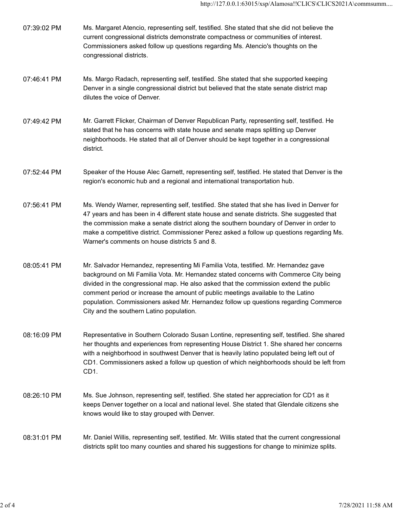| 07:39:02 PM | Ms. Margaret Atencio, representing self, testified. She stated that she did not believe the |
|-------------|---------------------------------------------------------------------------------------------|
|             | current congressional districts demonstrate compactness or communities of interest.         |
|             | Commissioners asked follow up questions regarding Ms. Atencio's thoughts on the             |
|             | congressional districts.                                                                    |

- 07:46:41 PM Ms. Margo Radach, representing self, testified. She stated that she supported keeping Denver in a single congressional district but believed that the state senate district map dilutes the voice of Denver.
- 07:49:42 PM Mr. Garrett Flicker, Chairman of Denver Republican Party, representing self, testified. He stated that he has concerns with state house and senate maps splitting up Denver neighborhoods. He stated that all of Denver should be kept together in a congressional district.
- 07:52:44 PM Speaker of the House Alec Garnett, representing self, testified. He stated that Denver is the region's economic hub and a regional and international transportation hub.
- 07:56:41 PM Ms. Wendy Warner, representing self, testified. She stated that she has lived in Denver for 47 years and has been in 4 different state house and senate districts. She suggested that the commission make a senate district along the southern boundary of Denver in order to make a competitive district. Commissioner Perez asked a follow up questions regarding Ms. Warner's comments on house districts 5 and 8.
- 08:05:41 PM Mr. Salvador Hernandez, representing Mi Familia Vota, testified. Mr. Hernandez gave background on Mi Familia Vota. Mr. Hernandez stated concerns with Commerce City being divided in the congressional map. He also asked that the commission extend the public comment period or increase the amount of public meetings available to the Latino population. Commissioners asked Mr. Hernandez follow up questions regarding Commerce City and the southern Latino population.
- 08:16:09 PM Representative in Southern Colorado Susan Lontine, representing self, testified. She shared her thoughts and experiences from representing House District 1. She shared her concerns with a neighborhood in southwest Denver that is heavily latino populated being left out of CD1. Commissioners asked a follow up question of which neighborhoods should be left from CD1. her thoughts and experiences from representing House District 1. She shared her concerns<br>with a neighborhood in southwest Denver that is heavily latino populated being left out of<br>CD1. Commissioners asked a follow up quest
	- 08:26:10 PM Ms. Sue Johnson, representing self, testified. She stated her appreciation for CD1 as it keeps Denver together on a local and national level. She stated that Glendale citizens she knows would like to stay grouped with Denver.
	- 08:31:01 PM Mr. Daniel Willis, representing self, testified. Mr. Willis stated that the current congressional districts split too many counties and shared his suggestions for change to minimize splits.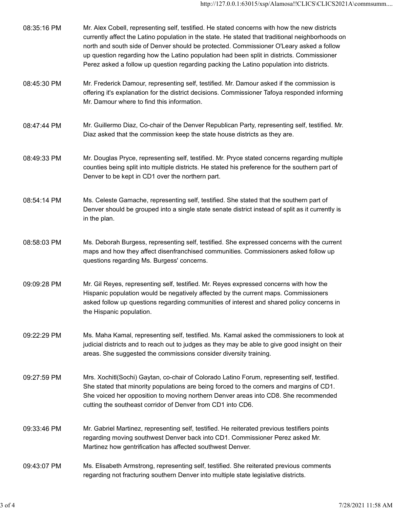| Mr. Frederick Damour, representing self, testified. Mr. Damour asked if the commission is<br>08:45:30 PM<br>offering it's explanation for the district decisions. Commissioner Tafoya responded informing<br>Mr. Damour where to find this information.<br>Mr. Guillermo Diaz, Co-chair of the Denver Republican Party, representing self, testified. Mr.<br>08:47:44 PM<br>Diaz asked that the commission keep the state house districts as they are.<br>Mr. Douglas Pryce, representing self, testified. Mr. Pryce stated concerns regarding multiple<br>08:49:33 PM<br>counties being split into multiple districts. He stated his preference for the southern part of<br>Denver to be kept in CD1 over the northern part.<br>08:54:14 PM<br>Ms. Celeste Gamache, representing self, testified. She stated that the southern part of<br>Denver should be grouped into a single state senate district instead of split as it currently is<br>in the plan.<br>Ms. Deborah Burgess, representing self, testified. She expressed concerns with the current<br>08:58:03 PM<br>maps and how they affect disenfranchised communities. Commissioners asked follow up<br>questions regarding Ms. Burgess' concerns.<br>Mr. Gil Reyes, representing self, testified. Mr. Reyes expressed concerns with how the<br>09:09:28 PM<br>Hispanic population would be negatively affected by the current maps. Commissioners<br>asked follow up questions regarding communities of interest and shared policy concerns in<br>the Hispanic population.<br>09:22:29 PM<br>Ms. Maha Kamal, representing self, testified. Ms. Kamal asked the commissioners to look at<br>judicial districts and to reach out to judges as they may be able to give good insight on their |
|--------------------------------------------------------------------------------------------------------------------------------------------------------------------------------------------------------------------------------------------------------------------------------------------------------------------------------------------------------------------------------------------------------------------------------------------------------------------------------------------------------------------------------------------------------------------------------------------------------------------------------------------------------------------------------------------------------------------------------------------------------------------------------------------------------------------------------------------------------------------------------------------------------------------------------------------------------------------------------------------------------------------------------------------------------------------------------------------------------------------------------------------------------------------------------------------------------------------------------------------------------------------------------------------------------------------------------------------------------------------------------------------------------------------------------------------------------------------------------------------------------------------------------------------------------------------------------------------------------------------------------------------------------------------------------------------------------------------------------------------------------|
|                                                                                                                                                                                                                                                                                                                                                                                                                                                                                                                                                                                                                                                                                                                                                                                                                                                                                                                                                                                                                                                                                                                                                                                                                                                                                                                                                                                                                                                                                                                                                                                                                                                                                                                                                        |
|                                                                                                                                                                                                                                                                                                                                                                                                                                                                                                                                                                                                                                                                                                                                                                                                                                                                                                                                                                                                                                                                                                                                                                                                                                                                                                                                                                                                                                                                                                                                                                                                                                                                                                                                                        |
|                                                                                                                                                                                                                                                                                                                                                                                                                                                                                                                                                                                                                                                                                                                                                                                                                                                                                                                                                                                                                                                                                                                                                                                                                                                                                                                                                                                                                                                                                                                                                                                                                                                                                                                                                        |
|                                                                                                                                                                                                                                                                                                                                                                                                                                                                                                                                                                                                                                                                                                                                                                                                                                                                                                                                                                                                                                                                                                                                                                                                                                                                                                                                                                                                                                                                                                                                                                                                                                                                                                                                                        |
|                                                                                                                                                                                                                                                                                                                                                                                                                                                                                                                                                                                                                                                                                                                                                                                                                                                                                                                                                                                                                                                                                                                                                                                                                                                                                                                                                                                                                                                                                                                                                                                                                                                                                                                                                        |
|                                                                                                                                                                                                                                                                                                                                                                                                                                                                                                                                                                                                                                                                                                                                                                                                                                                                                                                                                                                                                                                                                                                                                                                                                                                                                                                                                                                                                                                                                                                                                                                                                                                                                                                                                        |
| areas. She suggested the commissions consider diversity training.                                                                                                                                                                                                                                                                                                                                                                                                                                                                                                                                                                                                                                                                                                                                                                                                                                                                                                                                                                                                                                                                                                                                                                                                                                                                                                                                                                                                                                                                                                                                                                                                                                                                                      |
| Mrs. Xochitl(Sochi) Gaytan, co-chair of Colorado Latino Forum, representing self, testified.<br>09:27:59 PM<br>She stated that minority populations are being forced to the corners and margins of CD1.<br>She voiced her opposition to moving northern Denver areas into CD8. She recommended<br>cutting the southeast corridor of Denver from CD1 into CD6.                                                                                                                                                                                                                                                                                                                                                                                                                                                                                                                                                                                                                                                                                                                                                                                                                                                                                                                                                                                                                                                                                                                                                                                                                                                                                                                                                                                          |
| 09:33:46 PM<br>Mr. Gabriel Martinez, representing self, testified. He reiterated previous testifiers points<br>regarding moving southwest Denver back into CD1. Commissioner Perez asked Mr.<br>Martinez how gentrification has affected southwest Denver.                                                                                                                                                                                                                                                                                                                                                                                                                                                                                                                                                                                                                                                                                                                                                                                                                                                                                                                                                                                                                                                                                                                                                                                                                                                                                                                                                                                                                                                                                             |
| 09:43:07 PM<br>Ms. Elisabeth Armstrong, representing self, testified. She reiterated previous comments<br>regarding not fracturing southern Denver into multiple state legislative districts.                                                                                                                                                                                                                                                                                                                                                                                                                                                                                                                                                                                                                                                                                                                                                                                                                                                                                                                                                                                                                                                                                                                                                                                                                                                                                                                                                                                                                                                                                                                                                          |
| 3 of 4<br>7/28/2021 11:58 AM                                                                                                                                                                                                                                                                                                                                                                                                                                                                                                                                                                                                                                                                                                                                                                                                                                                                                                                                                                                                                                                                                                                                                                                                                                                                                                                                                                                                                                                                                                                                                                                                                                                                                                                           |